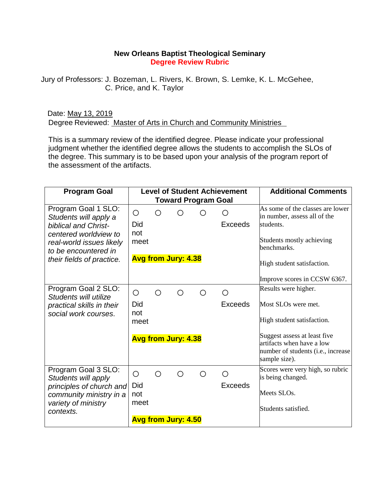## **New Orleans Baptist Theological Seminary Degree Review Rubric**

Jury of Professors: J. Bozeman, L. Rivers, K. Brown, S. Lemke, K. L. McGehee, C. Price, and K. Taylor

Date: May 13, 2019 Degree Reviewed: Master of Arts in Church and Community Ministries

This is a summary review of the identified degree. Please indicate your professional judgment whether the identified degree allows the students to accomplish the SLOs of the degree. This summary is to be based upon your analysis of the program report of the assessment of the artifacts.

| <b>Program Goal</b>                                                                                                                                                                   |                    |            | <b>Level of Student Achievement</b> |   | <b>Additional Comments</b> |                                                                                                                  |  |  |  |  |  |
|---------------------------------------------------------------------------------------------------------------------------------------------------------------------------------------|--------------------|------------|-------------------------------------|---|----------------------------|------------------------------------------------------------------------------------------------------------------|--|--|--|--|--|
| <b>Toward Program Goal</b>                                                                                                                                                            |                    |            |                                     |   |                            |                                                                                                                  |  |  |  |  |  |
| Program Goal 1 SLO:<br>Students will apply a<br><b>biblical and Christ-</b><br>centered worldview to<br>real-world issues likely<br>to be encountered in<br>their fields of practice. | O<br>Did<br>not    | Ο          |                                     | ◯ | O<br><b>Exceeds</b>        | As some of the classes are lower<br>in number, assess all of the<br>students.                                    |  |  |  |  |  |
|                                                                                                                                                                                       | meet               |            |                                     |   |                            | Students mostly achieving<br>benchmarks.                                                                         |  |  |  |  |  |
|                                                                                                                                                                                       |                    |            | <b>Avg from Jury: 4.38</b>          |   | High student satisfaction. |                                                                                                                  |  |  |  |  |  |
|                                                                                                                                                                                       |                    |            |                                     |   |                            | Improve scores in CCSW 6367.                                                                                     |  |  |  |  |  |
| Program Goal 2 SLO:<br>Students will utilize<br>practical skills in their<br>social work courses.                                                                                     | $\bigcirc$         | $\bigcirc$ | ◯                                   | ◯ | ∩                          | Results were higher.                                                                                             |  |  |  |  |  |
|                                                                                                                                                                                       | Did<br>not         |            |                                     |   | <b>Exceeds</b>             | Most SLOs were met.                                                                                              |  |  |  |  |  |
|                                                                                                                                                                                       | meet               |            |                                     |   |                            | High student satisfaction.                                                                                       |  |  |  |  |  |
|                                                                                                                                                                                       |                    |            | <b>Avg from Jury: 4.38</b>          |   |                            | Suggest assess at least five<br>artifacts when have a low<br>number of students (i.e., increase<br>sample size). |  |  |  |  |  |
| Program Goal 3 SLO:<br>Students will apply<br>principles of church and<br>community ministry in a<br>variety of ministry<br>contexts.                                                 | $\bigcirc$         | Ο          | Ω                                   | Ο | Ο                          | Scores were very high, so rubric<br>is being changed.                                                            |  |  |  |  |  |
|                                                                                                                                                                                       | Did<br>not<br>meet |            |                                     |   | Exceeds                    | Meets SLOs.<br>Students satisfied.                                                                               |  |  |  |  |  |
|                                                                                                                                                                                       |                    |            | <b>Avg from Jury: 4.50</b>          |   |                            |                                                                                                                  |  |  |  |  |  |